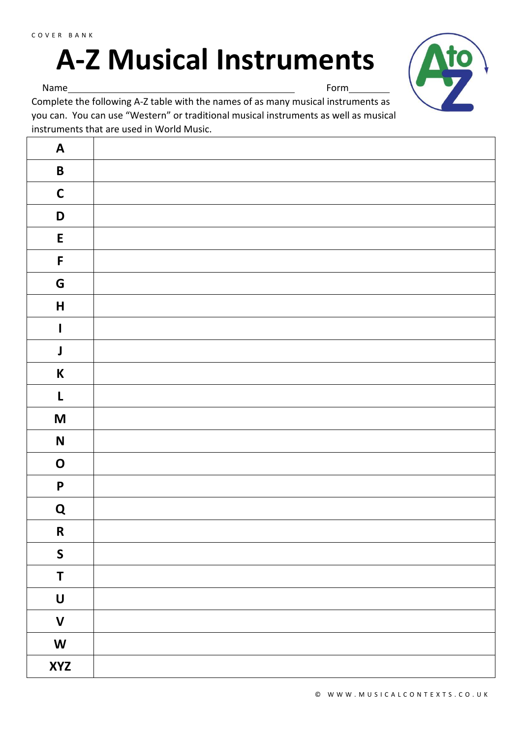## **A-Z Musical Instruments**



Name Form

Complete the following A-Z table with the names of as many musical instruments as you can. You can use "Western" or traditional musical instruments as well as musical instruments that are used in World Music.

| $\mathbf{A}$                                                                          |  |
|---------------------------------------------------------------------------------------|--|
| $\pmb B$                                                                              |  |
| $\mathsf C$                                                                           |  |
| $\mathsf D$                                                                           |  |
| ${\sf E}$                                                                             |  |
| $\mathsf F$                                                                           |  |
| G                                                                                     |  |
| $\pmb{\mathsf{H}}$                                                                    |  |
| $\mathbf I$                                                                           |  |
| $\pmb{\mathsf{J}}$                                                                    |  |
| $\boldsymbol{\mathsf{K}}$                                                             |  |
| L                                                                                     |  |
| $\mathsf{M}% _{T}=\mathsf{M}_{T}\!\left( a,b\right) ,\ \mathsf{M}_{T}=\mathsf{M}_{T}$ |  |
| $\mathsf{N}$                                                                          |  |
| $\mathbf O$                                                                           |  |
| $\boldsymbol{\mathsf{P}}$                                                             |  |
| ${\bf Q}$                                                                             |  |
| ${\bf R}$                                                                             |  |
| $\mathsf{S}$                                                                          |  |
| $\mathsf T$                                                                           |  |
| $\begin{matrix} \mathbf{U} \end{matrix}$                                              |  |
| $\mathsf{V}$                                                                          |  |
| $\boldsymbol{\mathsf{W}}$                                                             |  |
| <b>XYZ</b>                                                                            |  |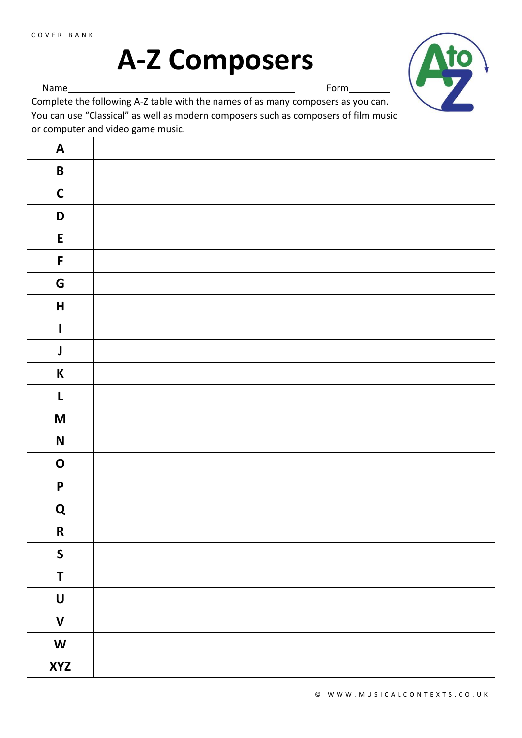## **A-Z Composers**



Name Form

Complete the following A-Z table with the names of as many composers as you can. You can use "Classical" as well as modern composers such as composers of film music or computer and video game music.

| $\mathbf{A}$              |  |
|---------------------------|--|
| $\pmb B$                  |  |
| $\mathbf C$               |  |
| $\mathsf D$               |  |
| ${\sf E}$                 |  |
| $\mathsf F$               |  |
| G                         |  |
| $\mathsf{H}$              |  |
| $\mathbf{I}$              |  |
| $\pmb{\mathsf{J}}$        |  |
| $\mathsf K$               |  |
| $\mathbf L$               |  |
| $\boldsymbol{\mathsf{M}}$ |  |
| $\mathsf{N}$              |  |
| $\mathbf O$               |  |
| $\pmb{\mathsf{P}}$        |  |
| ${\bf Q}$                 |  |
| ${\bf R}$                 |  |
| $\boldsymbol{\mathsf{S}}$ |  |
| $\mathsf T$               |  |
| $\pmb{\pmb{\pmb{\cup}}}$  |  |
| $\mathbf V$               |  |
| $\boldsymbol{\mathsf{W}}$ |  |
| <b>XYZ</b>                |  |